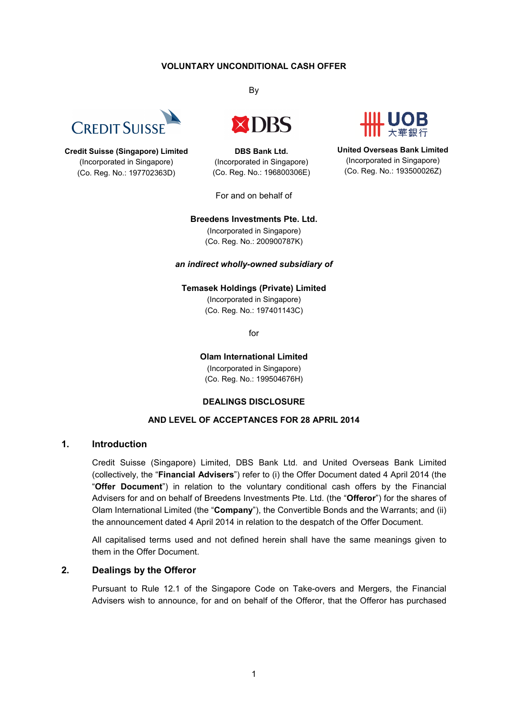#### **VOLUNTARY UNCONDITIONAL CASH OFFER**



**Credit Suisse (Singapore) Limited** (Incorporated in Singapore) (Co. Reg. No.: 197702363D)

By



**DBS Bank Ltd.** (Incorporated in Singapore) (Co. Reg. No.: 196800306E)

For and on behalf of

**United Overseas Bank Limited** (Incorporated in Singapore) (Co. Reg. No.: 193500026Z)

#### **Breedens Investments Pte. Ltd.**

(Incorporated in Singapore) (Co. Reg. No.: 200900787K)

#### *an indirect wholly-owned subsidiary of*

# **Temasek Holdings (Private) Limited**

(Incorporated in Singapore) (Co. Reg. No.: 197401143C)

for

**Olam International Limited** (Incorporated in Singapore) (Co. Reg. No.: 199504676H)

#### **DEALINGS DISCLOSURE**

### **AND LEVEL OF ACCEPTANCES FOR 28 APRIL 2014**

#### **1. Introduction**

Credit Suisse (Singapore) Limited, DBS Bank Ltd. and United Overseas Bank Limited (collectively, the "**Financial Advisers**") refer to (i) the Offer Document dated 4 April 2014 (the "**Offer Document**") in relation to the voluntary conditional cash offers by the Financial Advisers for and on behalf of Breedens Investments Pte. Ltd. (the "**Offeror**") for the shares of Olam International Limited (the "**Company**"), the Convertible Bonds and the Warrants; and (ii) the announcement dated 4 April 2014 in relation to the despatch of the Offer Document.

All capitalised terms used and not defined herein shall have the same meanings given to them in the Offer Document.

### **2. Dealings by the Offeror**

Pursuant to Rule 12.1 of the Singapore Code on Take-overs and Mergers, the Financial Advisers wish to announce, for and on behalf of the Offeror, that the Offeror has purchased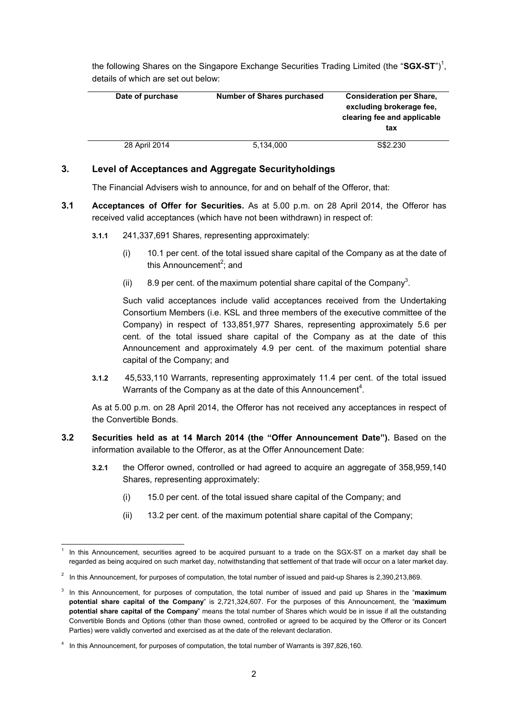the following Shares on the Singapore Exchange Securities Trading Limited (the "SGX-ST")<sup>1</sup>, details of which are set out below:

| Date of purchase | <b>Number of Shares purchased</b> | <b>Consideration per Share,</b><br>excluding brokerage fee.<br>clearing fee and applicable<br>tax |
|------------------|-----------------------------------|---------------------------------------------------------------------------------------------------|
| 28 April 2014    | 5,134,000                         | S\$2,230                                                                                          |

## **3. Level of Acceptances and Aggregate Securityholdings**

The Financial Advisers wish to announce, for and on behalf of the Offeror, that:

- **3.1 Acceptances of Offer for Securities.** As at 5.00 p.m. on 28 April 2014, the Offeror has received valid acceptances (which have not been withdrawn) in respect of:
	- **3.1.1** 241,337,691 Shares, representing approximately:
		- (i) 10.1 per cent. of the total issued share capital of the Company as at the date of this Announcement<sup>2</sup>; and
		- (ii) 8.9 per cent. of the maximum potential share capital of the Company<sup>3</sup>.

Such valid acceptances include valid acceptances received from the Undertaking Consortium Members (i.e. KSL and three members of the executive committee of the Company) in respect of 133,851,977 Shares, representing approximately 5.6 per cent. of the total issued share capital of the Company as at the date of this Announcement and approximately 4.9 per cent. of the maximum potential share capital of the Company; and

**3.1.2** 45,533,110 Warrants, representing approximately 11.4 per cent. of the total issued Warrants of the Company as at the date of this Announcement<sup>4</sup>.

As at 5.00 p.m. on 28 April 2014, the Offeror has not received any acceptances in respect of the Convertible Bonds.

- **3.2 Securities held as at 14 March 2014 (the "Offer Announcement Date").** Based on the information available to the Offeror, as at the Offer Announcement Date:
	- **3.2.1** the Offeror owned, controlled or had agreed to acquire an aggregate of 358,959,140 Shares, representing approximately:
		- (i) 15.0 per cent. of the total issued share capital of the Company; and
		- (ii) 13.2 per cent. of the maximum potential share capital of the Company;

<sup>1</sup> 1 In this Announcement, securities agreed to be acquired pursuant to a trade on the SGX-ST on a market day shall be regarded as being acquired on such market day, notwithstanding that settlement of that trade will occur on a later market day.

 $2$  In this Announcement, for purposes of computation, the total number of issued and paid-up Shares is 2,390,213,869.

<sup>3</sup> In this Announcement, for purposes of computation, the total number of issued and paid up Shares in the "**maximum potential share capital of the Company**" is 2,721,324,607. For the purposes of this Announcement, the "**maximum potential share capital of the Company**" means the total number of Shares which would be in issue if all the outstanding Convertible Bonds and Options (other than those owned, controlled or agreed to be acquired by the Offeror or its Concert Parties) were validly converted and exercised as at the date of the relevant declaration.

<sup>4</sup> In this Announcement, for purposes of computation, the total number of Warrants is 397,826,160.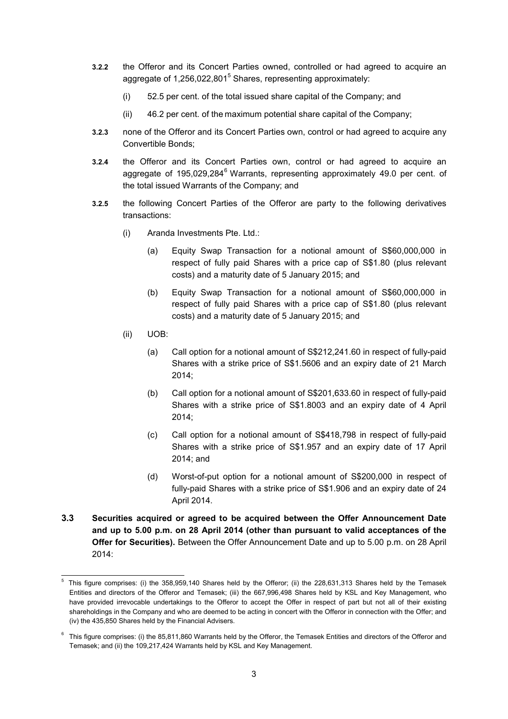- **3.2.2** the Offeror and its Concert Parties owned, controlled or had agreed to acquire an aggregate of 1,256,022,801<sup>5</sup> Shares, representing approximately:
	- (i) 52.5 per cent. of the total issued share capital of the Company; and
	- (ii) 46.2 per cent. of the maximum potential share capital of the Company;
- **3.2.3** none of the Offeror and its Concert Parties own, control or had agreed to acquire any Convertible Bonds;
- **3.2.4** the Offeror and its Concert Parties own, control or had agreed to acquire an aggregate of 195,029,284 $^{6}$  Warrants, representing approximately 49.0 per cent. of the total issued Warrants of the Company; and
- **3.2.5** the following Concert Parties of the Offeror are party to the following derivatives transactions:
	- (i) Aranda Investments Pte. Ltd.:
		- (a) Equity Swap Transaction for a notional amount of S\$60,000,000 in respect of fully paid Shares with a price cap of S\$1.80 (plus relevant costs) and a maturity date of 5 January 2015; and
		- (b) Equity Swap Transaction for a notional amount of S\$60,000,000 in respect of fully paid Shares with a price cap of S\$1.80 (plus relevant costs) and a maturity date of 5 January 2015; and
	- (ii) UOB:
		- (a) Call option for a notional amount of S\$212,241.60 in respect of fully-paid Shares with a strike price of S\$1.5606 and an expiry date of 21 March 2014;
		- (b) Call option for a notional amount of S\$201,633.60 in respect of fully-paid Shares with a strike price of S\$1.8003 and an expiry date of 4 April 2014;
		- (c) Call option for a notional amount of S\$418,798 in respect of fully-paid Shares with a strike price of S\$1.957 and an expiry date of 17 April 2014; and
		- (d) Worst-of-put option for a notional amount of S\$200,000 in respect of fully-paid Shares with a strike price of S\$1.906 and an expiry date of 24 April 2014.
- **3.3 Securities acquired or agreed to be acquired between the Offer Announcement Date and up to 5.00 p.m. on 28 April 2014 (other than pursuant to valid acceptances of the Offer for Securities).** Between the Offer Announcement Date and up to 5.00 p.m. on 28 April 2014:

<sup>-</sup>5 This figure comprises: (i) the 358,959,140 Shares held by the Offeror; (ii) the 228,631,313 Shares held by the Temasek Entities and directors of the Offeror and Temasek; (iii) the 667,996,498 Shares held by KSL and Key Management, who have provided irrevocable undertakings to the Offeror to accept the Offer in respect of part but not all of their existing shareholdings in the Company and who are deemed to be acting in concert with the Offeror in connection with the Offer; and (iv) the 435,850 Shares held by the Financial Advisers.

 $6$  This figure comprises: (i) the 85,811,860 Warrants held by the Offeror, the Temasek Entities and directors of the Offeror and Temasek; and (ii) the 109,217,424 Warrants held by KSL and Key Management.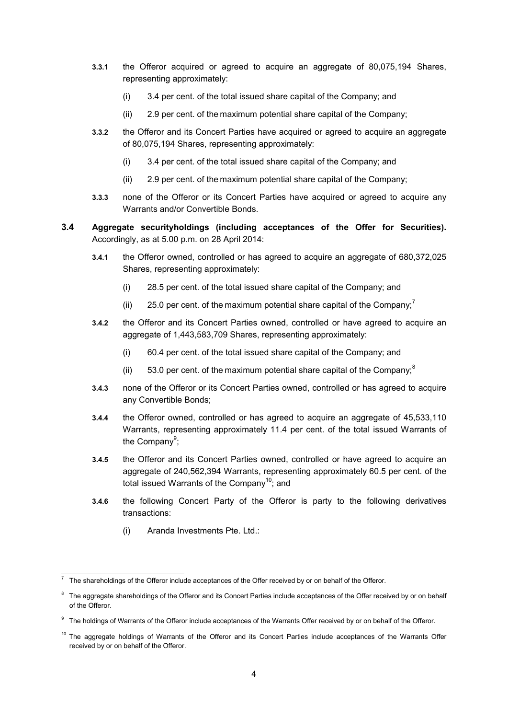- **3.3.1** the Offeror acquired or agreed to acquire an aggregate of 80,075,194 Shares, representing approximately:
	- (i) 3.4 per cent. of the total issued share capital of the Company; and
	- (ii) 2.9 per cent. of the maximum potential share capital of the Company;
- **3.3.2** the Offeror and its Concert Parties have acquired or agreed to acquire an aggregate of 80,075,194 Shares, representing approximately:
	- (i) 3.4 per cent. of the total issued share capital of the Company; and
	- (ii) 2.9 per cent. of the maximum potential share capital of the Company;
- **3.3.3** none of the Offeror or its Concert Parties have acquired or agreed to acquire any Warrants and/or Convertible Bonds.
- **3.4 Aggregate securityholdings (including acceptances of the Offer for Securities).**  Accordingly, as at 5.00 p.m. on 28 April 2014:
	- **3.4.1** the Offeror owned, controlled or has agreed to acquire an aggregate of 680,372,025 Shares, representing approximately:
		- (i) 28.5 per cent. of the total issued share capital of the Company; and
		- (ii) 25.0 per cent. of the maximum potential share capital of the Company;
	- **3.4.2** the Offeror and its Concert Parties owned, controlled or have agreed to acquire an aggregate of 1,443,583,709 Shares, representing approximately:
		- (i) 60.4 per cent. of the total issued share capital of the Company; and
		- (ii)  $53.0$  per cent. of the maximum potential share capital of the Company;
	- **3.4.3** none of the Offeror or its Concert Parties owned, controlled or has agreed to acquire any Convertible Bonds;
	- **3.4.4** the Offeror owned, controlled or has agreed to acquire an aggregate of 45,533,110 Warrants, representing approximately 11.4 per cent. of the total issued Warrants of the Company<sup>9</sup>;
	- **3.4.5** the Offeror and its Concert Parties owned, controlled or have agreed to acquire an aggregate of 240,562,394 Warrants, representing approximately 60.5 per cent. of the total issued Warrants of the Company<sup>10</sup>: and
	- **3.4.6** the following Concert Party of the Offeror is party to the following derivatives transactions:
		- (i) Aranda Investments Pte. Ltd.:

<sup>-</sup>7 The shareholdings of the Offeror include acceptances of the Offer received by or on behalf of the Offeror.

 $8$  The aggregate shareholdings of the Offeror and its Concert Parties include acceptances of the Offer received by or on behalf of the Offeror.

<sup>&</sup>lt;sup>9</sup> The holdings of Warrants of the Offeror include acceptances of the Warrants Offer received by or on behalf of the Offeror.

<sup>&</sup>lt;sup>10</sup> The aggregate holdings of Warrants of the Offeror and its Concert Parties include acceptances of the Warrants Offer received by or on behalf of the Offeror.